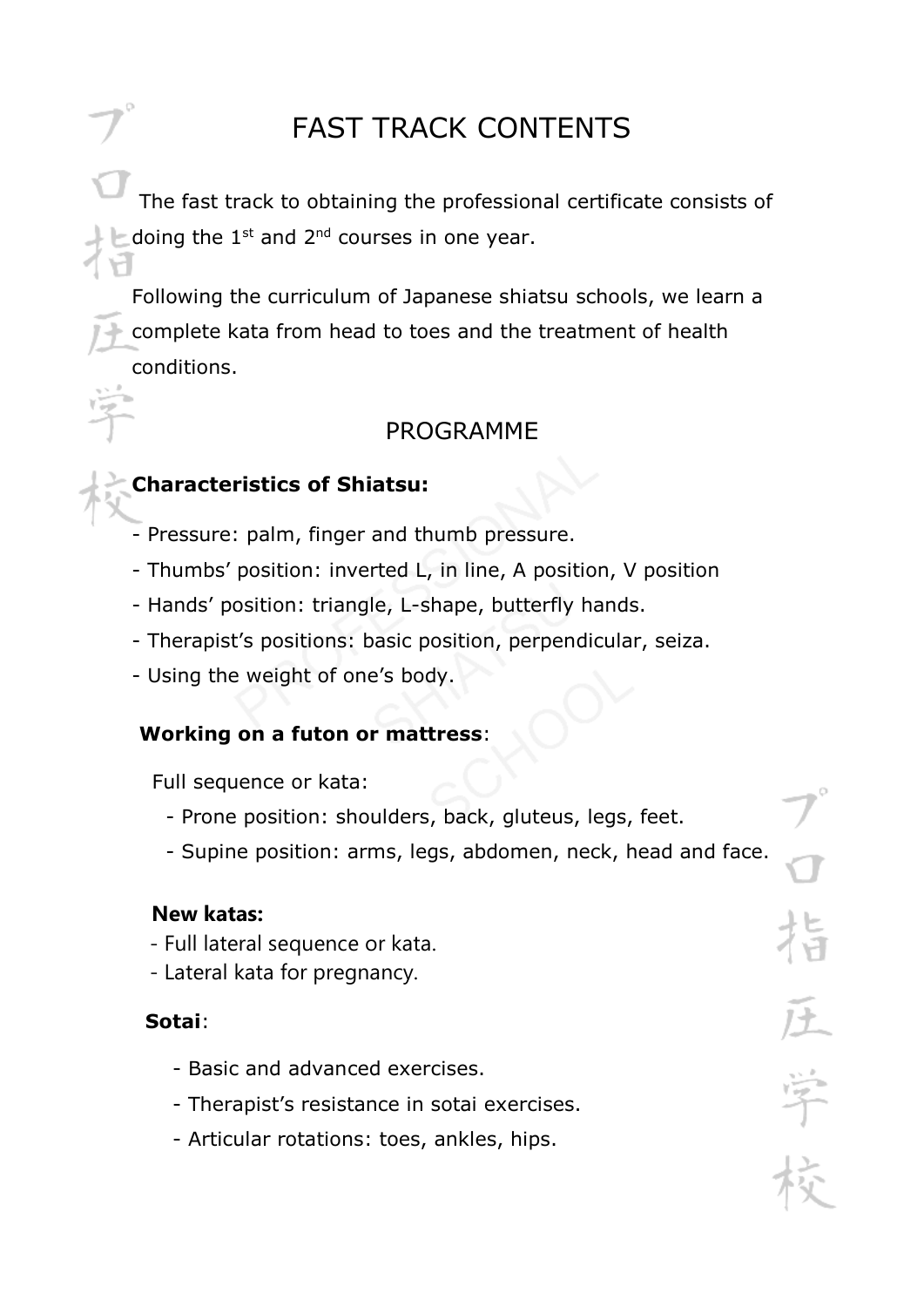# FAST TRACK CONTENTS

The fast track to obtaining the professional certificate consists of doing the  $1^{st}$  and  $2^{nd}$  courses in one year.

Following the curriculum of Japanese shiatsu schools, we learn a complete kata from head to toes and the treatment of health conditions.

### PROGRAMME

### **Characteristics of Shiatsu:**

- Pressure: palm, finger and thumb pressure.
- Thumbs' position: inverted L, in line, A position, V position
- Hands' position: triangle, L-shape, butterfly hands.
- Therapist's positions: basic position, perpendicular, seiza.
- Using the weight of one's body.

### **Working on a futon or mattress**:

Full sequence or kata:

- Prone position: shoulders, back, gluteus, legs, feet.
- Supine position: arms, legs, abdomen, neck, head and face.

#### **New katas:**

- Full lateral sequence or kata.
- Lateral kata for pregnancy.

### **Sotai**:

- Basic and advanced exercises.
- Therapist's resistance in sotai exercises.
- Articular rotations: toes, ankles, hips.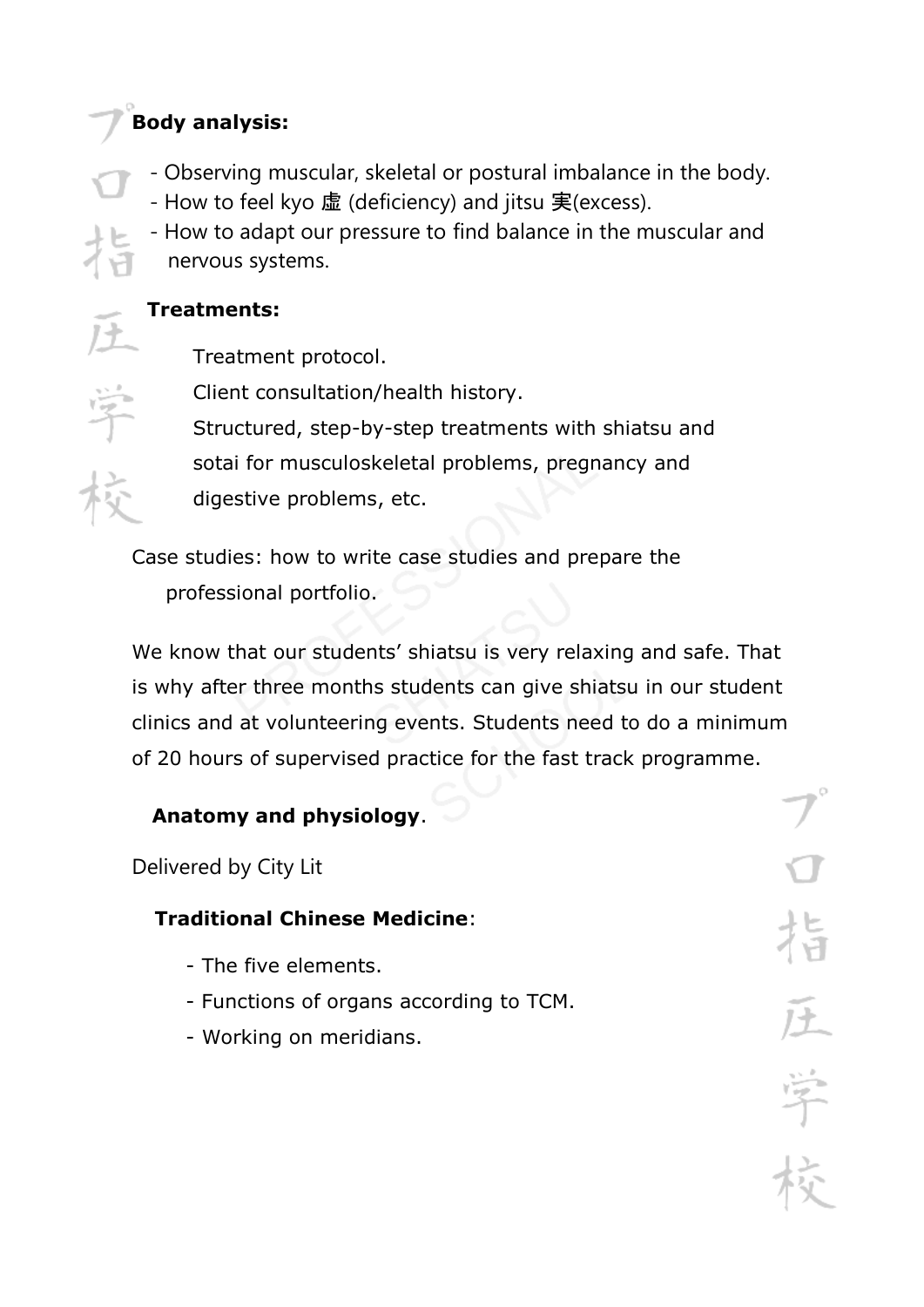# **Body analysis:**

- Observing muscular, skeletal or postural imbalance in the body.
- How to feel kyo 虚 (deficiency) and jitsu 実(excess).
- How to adapt our pressure to find balance in the muscular and nervous systems.

### **Treatments:**

Treatment protocol.

 Client consultation/health history. Structured, step-by-step treatments with shiatsu and sotai for musculoskeletal problems, pregnancy and digestive problems, etc.

Case studies: how to write case studies and prepare the professional portfolio.

We know that our students' shiatsu is very relaxing and safe. That is why after three months students can give shiatsu in our student clinics and at volunteering events. Students need to do a minimum of 20 hours of supervised practice for the fast track programme.

# **Anatomy and physiology**.

Delivered by City Lit

# **Traditional Chinese Medicine**:

- The five elements.
- Functions of organs according to TCM.
- Working on meridians.

学长